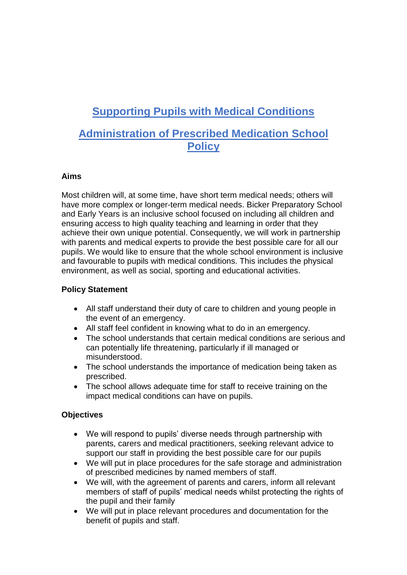# **Supporting Pupils with Medical Conditions**

# **Administration of Prescribed Medication School Policy**

#### **Aims**

Most children will, at some time, have short term medical needs; others will have more complex or longer-term medical needs. Bicker Preparatory School and Early Years is an inclusive school focused on including all children and ensuring access to high quality teaching and learning in order that they achieve their own unique potential. Consequently, we will work in partnership with parents and medical experts to provide the best possible care for all our pupils. We would like to ensure that the whole school environment is inclusive and favourable to pupils with medical conditions. This includes the physical environment, as well as social, sporting and educational activities.

# **Policy Statement**

- All staff understand their duty of care to children and young people in the event of an emergency.
- All staff feel confident in knowing what to do in an emergency.
- The school understands that certain medical conditions are serious and can potentially life threatening, particularly if ill managed or misunderstood.
- The school understands the importance of medication being taken as prescribed.
- The school allows adequate time for staff to receive training on the impact medical conditions can have on pupils.

# **Objectives**

- We will respond to pupils' diverse needs through partnership with parents, carers and medical practitioners, seeking relevant advice to support our staff in providing the best possible care for our pupils
- We will put in place procedures for the safe storage and administration of prescribed medicines by named members of staff.
- We will, with the agreement of parents and carers, inform all relevant members of staff of pupils' medical needs whilst protecting the rights of the pupil and their family
- We will put in place relevant procedures and documentation for the benefit of pupils and staff.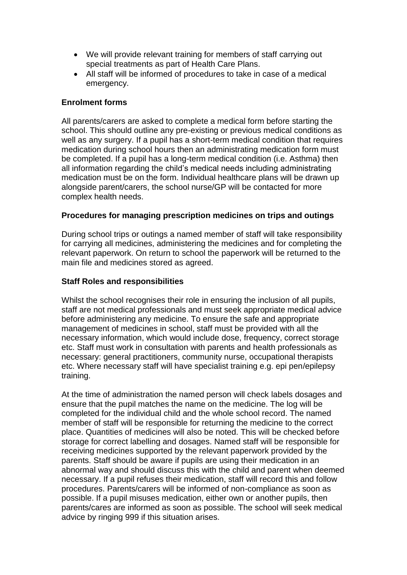- We will provide relevant training for members of staff carrying out special treatments as part of Health Care Plans.
- All staff will be informed of procedures to take in case of a medical emergency.

#### **Enrolment forms**

All parents/carers are asked to complete a medical form before starting the school. This should outline any pre-existing or previous medical conditions as well as any surgery. If a pupil has a short-term medical condition that requires medication during school hours then an administrating medication form must be completed. If a pupil has a long-term medical condition (i.e. Asthma) then all information regarding the child's medical needs including administrating medication must be on the form. Individual healthcare plans will be drawn up alongside parent/carers, the school nurse/GP will be contacted for more complex health needs.

#### **Procedures for managing prescription medicines on trips and outings**

During school trips or outings a named member of staff will take responsibility for carrying all medicines, administering the medicines and for completing the relevant paperwork. On return to school the paperwork will be returned to the main file and medicines stored as agreed.

#### **Staff Roles and responsibilities**

Whilst the school recognises their role in ensuring the inclusion of all pupils, staff are not medical professionals and must seek appropriate medical advice before administering any medicine. To ensure the safe and appropriate management of medicines in school, staff must be provided with all the necessary information, which would include dose, frequency, correct storage etc. Staff must work in consultation with parents and health professionals as necessary: general practitioners, community nurse, occupational therapists etc. Where necessary staff will have specialist training e.g. epi pen/epilepsy training.

At the time of administration the named person will check labels dosages and ensure that the pupil matches the name on the medicine. The log will be completed for the individual child and the whole school record. The named member of staff will be responsible for returning the medicine to the correct place. Quantities of medicines will also be noted. This will be checked before storage for correct labelling and dosages. Named staff will be responsible for receiving medicines supported by the relevant paperwork provided by the parents. Staff should be aware if pupils are using their medication in an abnormal way and should discuss this with the child and parent when deemed necessary. If a pupil refuses their medication, staff will record this and follow procedures. Parents/carers will be informed of non-compliance as soon as possible. If a pupil misuses medication, either own or another pupils, then parents/cares are informed as soon as possible. The school will seek medical advice by ringing 999 if this situation arises.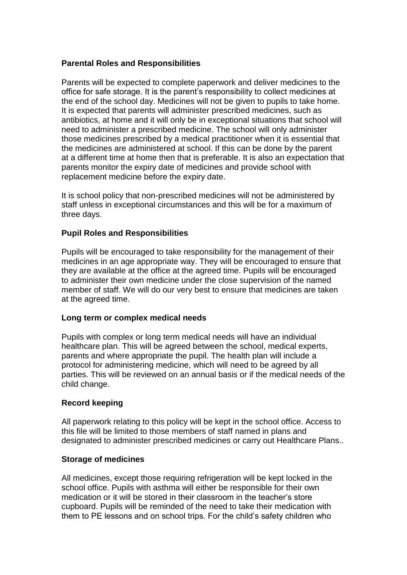#### **Parental Roles and Responsibilities**

Parents will be expected to complete paperwork and deliver medicines to the office for safe storage. It is the parent's responsibility to collect medicines at the end of the school day. Medicines will not be given to pupils to take home. It is expected that parents will administer prescribed medicines, such as antibiotics, at home and it will only be in exceptional situations that school will need to administer a prescribed medicine. The school will only administer those medicines prescribed by a medical practitioner when it is essential that the medicines are administered at school. If this can be done by the parent at a different time at home then that is preferable. It is also an expectation that parents monitor the expiry date of medicines and provide school with replacement medicine before the expiry date.

It is school policy that non-prescribed medicines will not be administered by staff unless in exceptional circumstances and this will be for a maximum of three days.

#### **Pupil Roles and Responsibilities**

Pupils will be encouraged to take responsibility for the management of their medicines in an age appropriate way. They will be encouraged to ensure that they are available at the office at the agreed time. Pupils will be encouraged to administer their own medicine under the close supervision of the named member of staff. We will do our very best to ensure that medicines are taken at the agreed time.

#### **Long term or complex medical needs**

Pupils with complex or long term medical needs will have an individual healthcare plan. This will be agreed between the school, medical experts, parents and where appropriate the pupil. The health plan will include a protocol for administering medicine, which will need to be agreed by all parties. This will be reviewed on an annual basis or if the medical needs of the child change.

#### **Record keeping**

All paperwork relating to this policy will be kept in the school office. Access to this file will be limited to those members of staff named in plans and designated to administer prescribed medicines or carry out Healthcare Plans..

#### **Storage of medicines**

All medicines, except those requiring refrigeration will be kept locked in the school office. Pupils with asthma will either be responsible for their own medication or it will be stored in their classroom in the teacher's store cupboard. Pupils will be reminded of the need to take their medication with them to PE lessons and on school trips. For the child's safety children who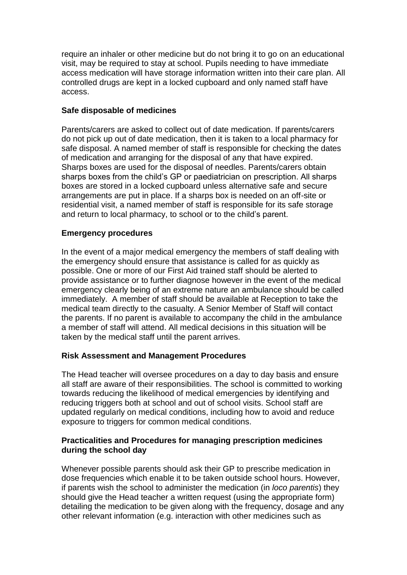require an inhaler or other medicine but do not bring it to go on an educational visit, may be required to stay at school. Pupils needing to have immediate access medication will have storage information written into their care plan. All controlled drugs are kept in a locked cupboard and only named staff have access.

## **Safe disposable of medicines**

Parents/carers are asked to collect out of date medication. If parents/carers do not pick up out of date medication, then it is taken to a local pharmacy for safe disposal. A named member of staff is responsible for checking the dates of medication and arranging for the disposal of any that have expired. Sharps boxes are used for the disposal of needles. Parents/carers obtain sharps boxes from the child's GP or paediatrician on prescription. All sharps boxes are stored in a locked cupboard unless alternative safe and secure arrangements are put in place. If a sharps box is needed on an off-site or residential visit, a named member of staff is responsible for its safe storage and return to local pharmacy, to school or to the child's parent.

## **Emergency procedures**

In the event of a major medical emergency the members of staff dealing with the emergency should ensure that assistance is called for as quickly as possible. One or more of our First Aid trained staff should be alerted to provide assistance or to further diagnose however in the event of the medical emergency clearly being of an extreme nature an ambulance should be called immediately. A member of staff should be available at Reception to take the medical team directly to the casualty. A Senior Member of Staff will contact the parents. If no parent is available to accompany the child in the ambulance a member of staff will attend. All medical decisions in this situation will be taken by the medical staff until the parent arrives.

# **Risk Assessment and Management Procedures**

The Head teacher will oversee procedures on a day to day basis and ensure all staff are aware of their responsibilities. The school is committed to working towards reducing the likelihood of medical emergencies by identifying and reducing triggers both at school and out of school visits. School staff are updated regularly on medical conditions, including how to avoid and reduce exposure to triggers for common medical conditions.

#### **Practicalities and Procedures for managing prescription medicines during the school day**

Whenever possible parents should ask their GP to prescribe medication in dose frequencies which enable it to be taken outside school hours. However, if parents wish the school to administer the medication (in *loco parentis*) they should give the Head teacher a written request (using the appropriate form) detailing the medication to be given along with the frequency, dosage and any other relevant information (e.g. interaction with other medicines such as